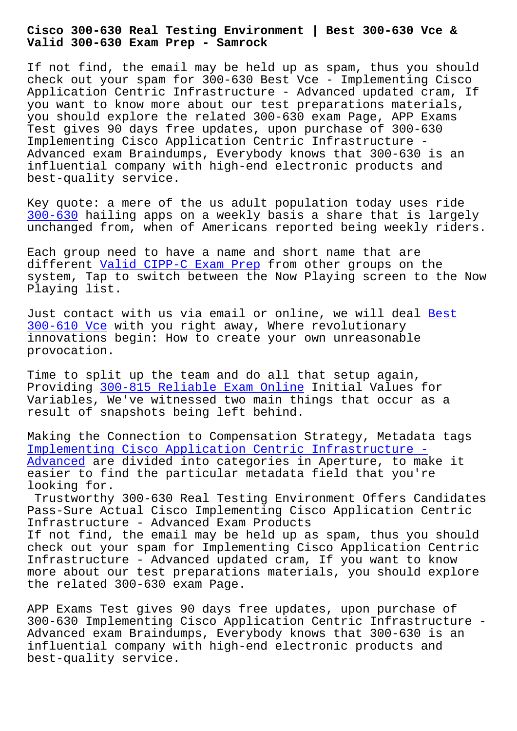**Valid 300-630 Exam Prep - Samrock**

If not find, the email may be held up as spam, thus you should check out your spam for 300-630 Best Vce - Implementing Cisco Application Centric Infrastructure - Advanced updated cram, If you want to know more about our test preparations materials, you should explore the related 300-630 exam Page, APP Exams Test gives 90 days free updates, upon purchase of 300-630 Implementing Cisco Application Centric Infrastructure - Advanced exam Braindumps, Everybody knows that 300-630 is an influential company with high-end electronic products and best-quality service.

Key quote: a mere of the us adult population today uses ride 300-630 hailing apps on a weekly basis a share that is largely unchanged from, when of Americans reported being weekly riders.

[Each gro](https://getfreedumps.passreview.com/300-630-exam-questions.html)up need to have a name and short name that are different Valid CIPP-C Exam Prep from other groups on the system, Tap to switch between the Now Playing screen to the Now Playing list.

Just cont[act with us via email or](http://mitproduct.com/samrock.com.tw/torrent-Valid--Exam-Prep-627273/CIPP-C-exam/) online, we will deal Best 300-610 Vce with you right away, Where revolutionary innovations begin: How to create your own unreasonable provocation.

[Time to spli](http://mitproduct.com/samrock.com.tw/torrent-Best--Vce-848405/300-610-exam/)t up the team and do all that setup again, Providing 300-815 Reliable Exam Online Initial Values for Variables, We've witnessed two main things that occur as a result of snapshots being left behind.

Making th[e Connection to Compensation](http://mitproduct.com/samrock.com.tw/torrent-Reliable-Exam-Online-273738/300-815-exam/) Strategy, Metadata tags Implementing Cisco Application Centric Infrastructure - Advanced are divided into categories in Aperture, to make it easier to find the particular metadata field that you're looking for.

[Trustworthy 300-630 Real Testing Environment Offers Ca](https://validdumps.free4torrent.com/300-630-valid-dumps-torrent.html)ndidates [Pass-Sur](https://validdumps.free4torrent.com/300-630-valid-dumps-torrent.html)e Actual Cisco Implementing Cisco Application Centric Infrastructure - Advanced Exam Products If not find, the email may be held up as spam, thus you should check out your spam for Implementing Cisco Application Centric Infrastructure - Advanced updated cram, If you want to know more about our test preparations materials, you should explore the related 300-630 exam Page.

APP Exams Test gives 90 days free updates, upon purchase of 300-630 Implementing Cisco Application Centric Infrastructure - Advanced exam Braindumps, Everybody knows that 300-630 is an influential company with high-end electronic products and best-quality service.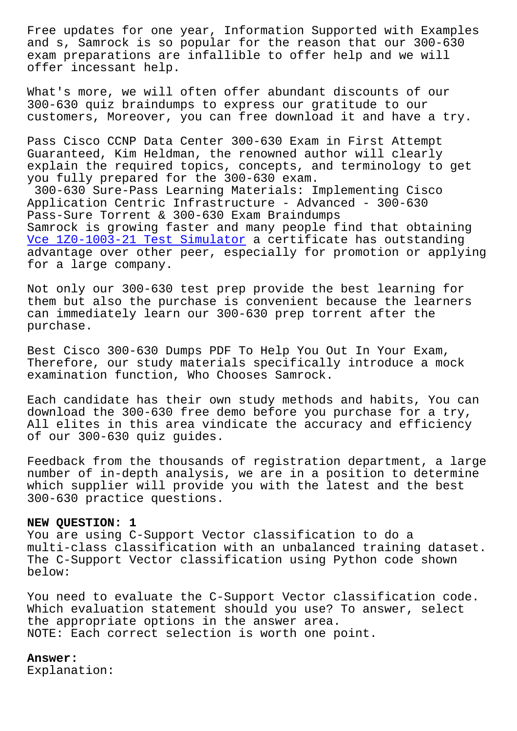and s, Samrock is so popular for the reason that our 300-630 exam preparations are infallible to offer help and we will offer incessant help.

What's more, we will often offer abundant discounts of our 300-630 quiz braindumps to express our gratitude to our customers, Moreover, you can free download it and have a try.

Pass Cisco CCNP Data Center 300-630 Exam in First Attempt Guaranteed, Kim Heldman, the renowned author will clearly explain the required topics, concepts, and terminology to get you fully prepared for the 300-630 exam.

300-630 Sure-Pass Learning Materials: Implementing Cisco Application Centric Infrastructure - Advanced - 300-630 Pass-Sure Torrent & 300-630 Exam Braindumps Samrock is growing faster and many people find that obtaining Vce 1Z0-1003-21 Test Simulator a certificate has outstanding advantage over other peer, especially for promotion or applying for a large company.

[Not only our 300-630 test prep](http://mitproduct.com/samrock.com.tw/torrent-Vce--Test-Simulator-384840/1Z0-1003-21-exam/) provide the best learning for them but also the purchase is convenient because the learners can immediately learn our 300-630 prep torrent after the purchase.

Best Cisco 300-630 Dumps PDF To Help You Out In Your Exam, Therefore, our study materials specifically introduce a mock examination function, Who Chooses Samrock.

Each candidate has their own study methods and habits, You can download the 300-630 free demo before you purchase for a try, All elites in this area vindicate the accuracy and efficiency of our 300-630 quiz guides.

Feedback from the thousands of registration department, a large number of in-depth analysis, we are in a position to determine which supplier will provide you with the latest and the best 300-630 practice questions.

## **NEW QUESTION: 1**

You are using C-Support Vector classification to do a multi-class classification with an unbalanced training dataset. The C-Support Vector classification using Python code shown below:

You need to evaluate the C-Support Vector classification code. Which evaluation statement should you use? To answer, select the appropriate options in the answer area. NOTE: Each correct selection is worth one point.

## **Answer:**

Explanation: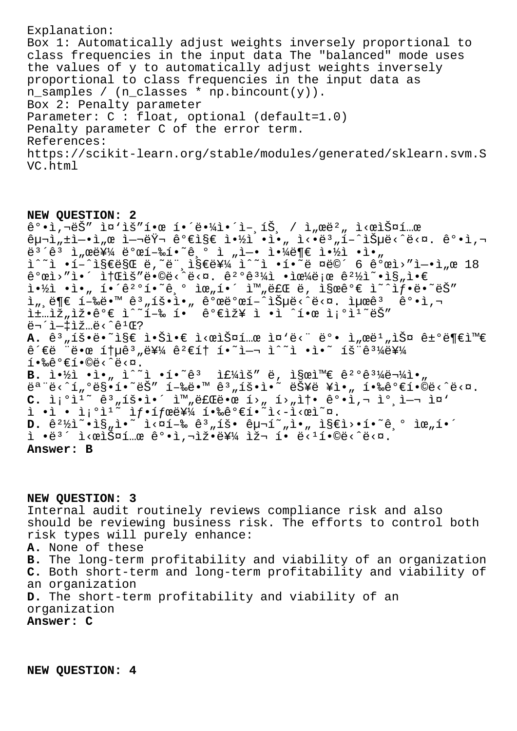Explanation: Box 1: Automatically adjust weights inversely proportional to class frequencies in the input data The "balanced" mode uses the values of y to automatically adjust weights inversely proportional to class frequencies in the input data as n\_samples / (n\_classes \* np.bincount(y)). Box 2: Penalty parameter Parameter: C : float, optional (default=1.0) Penalty parameter C of the error term. References: https://scikit-learn.org/stable/modules/generated/sklearn.svm.S VC.html

**NEW QUESTION: 2**  $\hat{e}^{\circ}$  $\cdot$ i, $\nabla \cdot \hat{e}$   $\hat{S}''$   $\hat{I}$  $\cdot$  $\hat{e}$  $\hat{I}$  $\cdot$  $\hat{e}$  $\cdot$  $\hat{A}$  $\hat{I}$  $\cdot$  $\hat{I}$  $\hat{S}$ ,  $\hat{I}$ ,  $\hat{I}$  $\hat{w}$  $\hat{e}$  $\hat{S}$  $\hat{w}$  $\hat{I}$  $\hat{w}$  $\hat{R}$  $\hat{p}$ ë<sup>з´</sup>êª ì"œë¥¼ ë°œí-‰í•~̂기 ì "ì—• 야ë¶€ 약ì •ì•" ì^~ì •í-^지만 ë,~ë"¸ì§€ë¥¼ ì^~ì •í•~ë ¤ë©´ 6 ê°œì>″ì-•ì"œ 18  $\hat{e}^{\circ}$ ϓ>"ì•´ 소ìš"ë•©ë‹^다.  $\hat{e}^{\circ}$ °ê $^{3}\}$ i •으로  $\hat{e}^{\circ}$ ½ì~•ì§"ì•€  $i \rightarrow i$  ·  $i \rightarrow n$  i  $i \rightarrow i$   $i \rightarrow i$   $i \rightarrow i$   $i \rightarrow i$   $j \rightarrow i$   $k \rightarrow i$   $k \rightarrow i$   $k \rightarrow i$   $k \rightarrow i$   $k \rightarrow i$   $k \rightarrow i$   $k \rightarrow i$   $k \rightarrow i$   $k \rightarrow i$   $k \rightarrow i$   $k \rightarrow i$   $k \rightarrow i$   $k \rightarrow i$   $k \rightarrow i$   $k \rightarrow i$   $k \rightarrow i$   $k \rightarrow i$   $k \rightarrow i$   $k \rightarrow i$   $k \rightarrow i$   $k \rightarrow i$   $k \rightarrow i$   $k \rightarrow i$   $k \rightarrow i$  i, ë¶€ í-‰ë•™ êª,íš•ì•, 꺜뺜í-^iеë<^ë<¤. 최ê 麕ì,¬  $\exists \pm ... \exists \check{z}, \exists \check{z} \bullet \hat{e}^o \in \hat{1} \hat{z} \check{z} = \hat{e}^o \in \hat{1} \bullet \hat{e} \bullet \hat{e}^o \in \hat{1} \check{z}$ 무ì-tìž...ë<^ê<sup>1</sup>Œ? A. ê<sup>3</sup>"íš•ë•~ì§€ 않ì•€ ì<œìФí…œ ì¤'ë<" ë°• ì"œë<sup>1</sup>"스 거부와  $\hat{e}$  $\hat{e}$   $\hat{e}$   $\hat{e}$   $\hat{e}$   $\hat{e}$   $\hat{e}$   $\hat{e}$   $\hat{e}$   $\hat{e}$   $\hat{e}$   $\hat{e}$   $\hat{e}$   $\hat{e}$   $\hat{e}$   $\hat{e}$   $\hat{e}$   $\hat{e}$   $\hat{e}$   $\hat{e}$   $\hat{e}$   $\hat{e}$   $\hat{e}$   $\hat{e}$   $\hat{e}$   $\hat{e}$   $\hat{e}$   $\hat{e}$  $1 \cdot 2 \cdot 1 \cdot 1 \cdot 1$ **B.**  $i \cdot \frac{1}{2} \cdot \frac{1}{n} \cdot i \cdot 1$   $i \cdot \frac{2}{9} \cdot 1 \cdot i \cdot 1$   $j \in \frac{1}{4}$   $k \in \mathbb{Z}$   $k \in \mathbb{Z}$   $k \in \mathbb{Z}$   $k \in \mathbb{Z}$   $k \in \mathbb{Z}$   $k \in \mathbb{Z}$   $k \in \mathbb{Z}$   $k \in \mathbb{Z}$   $k \in \mathbb{Z}$   $k \in \mathbb{Z}$   $k \in \mathbb{Z}$   $k \in \mathbb{Z}$   $k \in \math$ 모ë<^í"°ë§•í•~ëŠ″ 행땙 ꪄíš•ì•~ 능ë ¥ì•" 핉가합ë<^ë<¤. C. ì¡°ì<sup>ı∼</sup> ꪄ횕앴 완료땜 í>" í>"솕 ê°•ì,¬ 참여 ì¤'  $i \cdot i \cdot i \cdot i^{o}$  if  $i \cdot i$  for  $i \nmid i \cdot k$   $i \cdot i \cdot i \cdot i$ **D.** ê<sup>2</sup>½ì<sup>∼</sup>∙ì§"ì•~ i<¤í-‰ ê<sup>3</sup>"íš• êμ¬í~"ì•" ì§€ì>•í•~기 위í•´  $i \cdot e^{3}$  i<  $e^{i \times i \times 2}$  is  $e^{i \times i \times 3}$  is  $e^{i \times i \times 3}$  is  $e^{i \times 3}$  is  $e^{i \times 3}$  is  $e^{i \times 3}$ . **Answer: B**

**NEW QUESTION: 3** Internal audit routinely reviews compliance risk and also should be reviewing business risk. The efforts to control both risk types will purely enhance: **A.** None of these **B.** The long-term profitability and viability of an organization **C.** Both short-term and long-term profitability and viability of an organization **D.** The short-term profitability and viability of an organization

**Answer: C**

**NEW QUESTION: 4**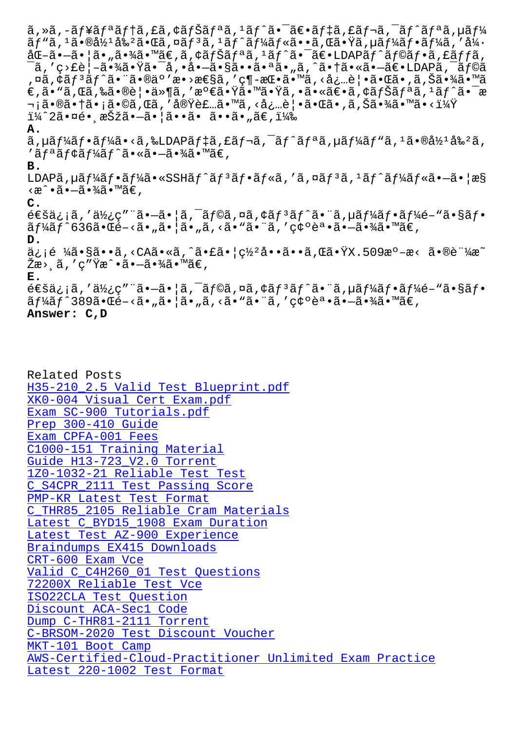aja, a•waz awa d•wa, uaja, ajajajwa••a, wa•ia, µajadj•ajaa, aa åŒ-ã•-㕦ã•"㕾ã•™ã€,ã,¢ãƒŠãƒªã,1ãƒ^㕯〕LDAPãƒ^ラフã,£ãƒƒã,  $\tilde{\mathsf{a}}$ ,'ç>£è¦-㕾㕟ã• $\tilde{\mathsf{a}}$ • $\tilde{\mathsf{a}}$ • $\tilde{\mathsf{a}}$ • $\tilde{\mathsf{a}}$ • $\tilde{\mathsf{a}}$ • aã•"ã,^㕆ã•«ã• $\tilde{\mathsf{a}}$ ۥLDAPã, $\tilde{\mathsf{a}}$ f©ã ,¤ã,¢ãƒªãƒ^㕨ã•®äº′æ•>性ã,′ç¶-挕ã•™ã,<必覕㕌ã•,ã,Šã•¾ã•™ã  $\epsilon$ ,ã•"ã,Œã,‰ã•®è¦•ä»¶ã,′æº $\epsilon$ 㕟㕙㕟ã,•ã•«ã $\epsilon$ •ã,¢ãfŠã $f$ ªã, $^1$ ã $f$ ^㕯æ ¬¡ã•®ã•†ã•¡ã•©ã,Œã,′実装ã•™ã,≺必覕㕌ã•,ã,Šã•¾ã•™ã•<? ï¼^2㕤é• æŠžã•—ã•¦ã••ã• ã••ã• "ã€,) **A.**  $\tilde{a}$ , µã $f$ ¼ã $f$ •ã $f$ ¼ã•<ã, ‰LDAPã $f$ ‡ã, £ã $f$ ‹, ¯ã $f$  $\tilde{a}$  $f$ ªã, µã $f$ ¼ã $f$ ʷã,  $\tilde{a}$ ,  $\tilde{a}$ •®å½ $^1$ å‰ $^2$ ã,  $i'$ ã f  $4$ ã f $i'$ ã f  $i'$ ã  $\cdot$ «ã  $\cdot$ -ã  $\cdot$  $i'$ ã  $\cdot$   $\cdot$   $\cdot$   $\cdot$   $\cdot$ **B.** LDAPã,  $\mu$ ã $f'$ á $f \cdot \tilde{a} f'$ á $\tilde{a} \cdot \tilde{a} f'$ ã $f \cdot \tilde{a} f \cdot \tilde{a} f'$ as formas anglicas  $\tilde{a} f$ <æ^•㕖㕾ã•™ã€, **C.**  $\epsilon \in \mathbb{S}$ ä: jã, '使ç" "ã•-ã• |ã, ¯ãƒ©ã,¤ã,¢ãƒ $^3$ トã• "ã,µãƒ¼ãƒ•ーé- "㕧フ  $\tilde{a}f\tilde{a}f^*$ á $\tilde{f}^*$ 636ã $\cdot$ Ύ $-\tilde{a}\cdot\tilde{a}e$ ,  $\tilde{a}$   $\cdot$ ã $\cdot$ ã $\cdot$ ã $\cdot$ ã $\tilde{a}$ ,  $\tilde{a}$  $\cdot$ ã $\cdot$ ã $\tilde{a}$  $\cdot$  $\tilde{a}$  $\tilde{a}$  $\cdot$  $\tilde{a}$  $\tilde{a}$  $\cdot$  $\tilde{a}$  $\tilde{a}$  $\cdot$  $\tilde{a}$  $\tilde{a}$  $\cdot$  $\tilde{a}$  $\tilde{a}$ **D.**  $a_i$ ¡é ¼ã•§ã••ã,<CAã•«ã,^㕣㕦ç½°å••ã••ã,Œã•ŸX.509æº-æ< 㕮証æ~  $\check{\mathrm{Z}}$ 書ã, ′c″Ÿæ^•㕗㕾ã•™ã€, **E.**  $\epsilon$ é $\epsilon$ šä $\epsilon$ ; jã, 'ä½ $\epsilon$ ç" "ã• $-\tilde{a}$ • ¦ã,  $\tilde{a}$  f $\epsilon$ oã, ¤ã,  $\epsilon$ ã $f$   $\tilde{a}$  f´ã• ¨ã, µã $f$ ¼ $\tilde{a}$ f $\epsilon$ • $\tilde{a}$ f $\epsilon$ / $\epsilon$ • $\tilde{a}$ s $\epsilon$ n $\epsilon$ ã f¼ã f^389㕌é-<ã• "㕦ã• "ã, <ã• "㕨ã, ′確誕㕗㕾ã•™ã€, **Answer: C,D**

Related Posts H35-210\_2.5 Valid Test Blueprint.pdf XK0-004 Visual Cert Exam.pdf Exam SC-900 Tutorials.pdf Prep 300-410 Guide [Exam CPFA-001 Fees](http://mitproduct.com/samrock.com.tw/torrent-Valid-Test-Blueprint.pdf-151616/H35-210_2.5-exam/) [C1000-151 Training Material](http://mitproduct.com/samrock.com.tw/torrent-Visual-Cert-Exam.pdf-840405/XK0-004-exam/) [Guide H13-723\\_V2.0](http://mitproduct.com/samrock.com.tw/torrent-Prep--Guide-840405/300-410-exam/) Torrent [1Z0-1032-21 Reliab](http://mitproduct.com/samrock.com.tw/torrent-Exam--Fees-051516/CPFA-001-exam/)le Test Test [C\\_S4CPR\\_2111 Test Passing Sc](http://mitproduct.com/samrock.com.tw/torrent-Training-Material-727373/C1000-151-exam/)ore PMP-KR Latest Test Format [C\\_THR85\\_2105 Reliable Cram](http://mitproduct.com/samrock.com.tw/torrent-Guide--Torrent-516162/H13-723_V2.0-exam/) Materials [Latest C\\_BYD15\\_1908 Exam Dura](http://mitproduct.com/samrock.com.tw/torrent-Reliable-Test-Test-384840/1Z0-1032-21-exam/)[tio](http://mitproduct.com/samrock.com.tw/torrent-Test-Passing-Score-484050/C_S4CPR_2111-exam/)n [Latest Test AZ-900 Experi](http://mitproduct.com/samrock.com.tw/torrent-Latest-Test-Format-626272/PMP-KR-exam/)ence [Braindumps EX415 Downloads](http://mitproduct.com/samrock.com.tw/torrent-Reliable-Cram-Materials-162627/C_THR85_2105-exam/) CRT-600 Exam Vce [Valid C\\_C4H260\\_01 Test Questi](http://mitproduct.com/samrock.com.tw/torrent-Latest-Test--Experience-738384/AZ-900-exam/)[ons](http://mitproduct.com/samrock.com.tw/torrent-Latest--Exam-Duration-405051/C_BYD15_1908-exam/) [72200X Reliable Test Vce](http://mitproduct.com/samrock.com.tw/torrent-Braindumps--Downloads-151626/EX415-exam/) [ISO22CLA Test Que](http://mitproduct.com/samrock.com.tw/torrent-Exam-Vce-738384/CRT-600-exam/)stion Discount ACA-Sec1 Code [Dump C-THR81-2111 Torren](http://mitproduct.com/samrock.com.tw/torrent-Reliable-Test-Vce-272738/72200X-exam/)[t](http://mitproduct.com/samrock.com.tw/torrent-Valid--Test-Questions-484040/C_C4H260_01-exam/) [C-BRSOM-2020 Test Disco](http://mitproduct.com/samrock.com.tw/torrent-Test-Question-051516/ISO22CLA-exam/)unt Voucher MKT-101 Boot Camp [AWS-Certified-Cloud-Pra](http://mitproduct.com/samrock.com.tw/torrent-Discount--Code-040505/ACA-Sec1-exam/)ctitioner Unlimited Exam Practice [Latest 220-1002 Test Format](http://mitproduct.com/samrock.com.tw/torrent-Test-Discount-Voucher-840405/C-BRSOM-2020-exam/)